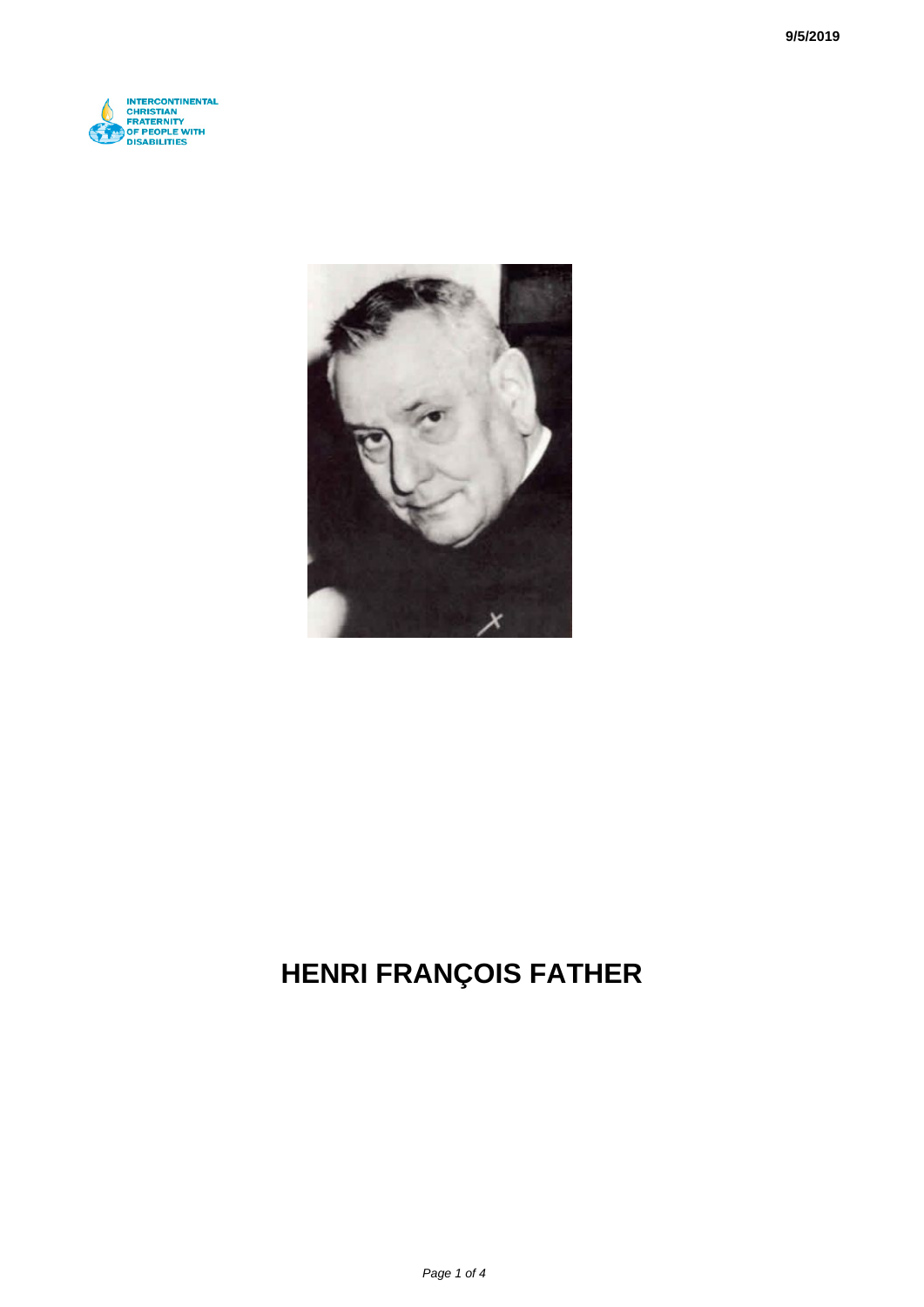



# **HENRI FRANÇOIS FATHER**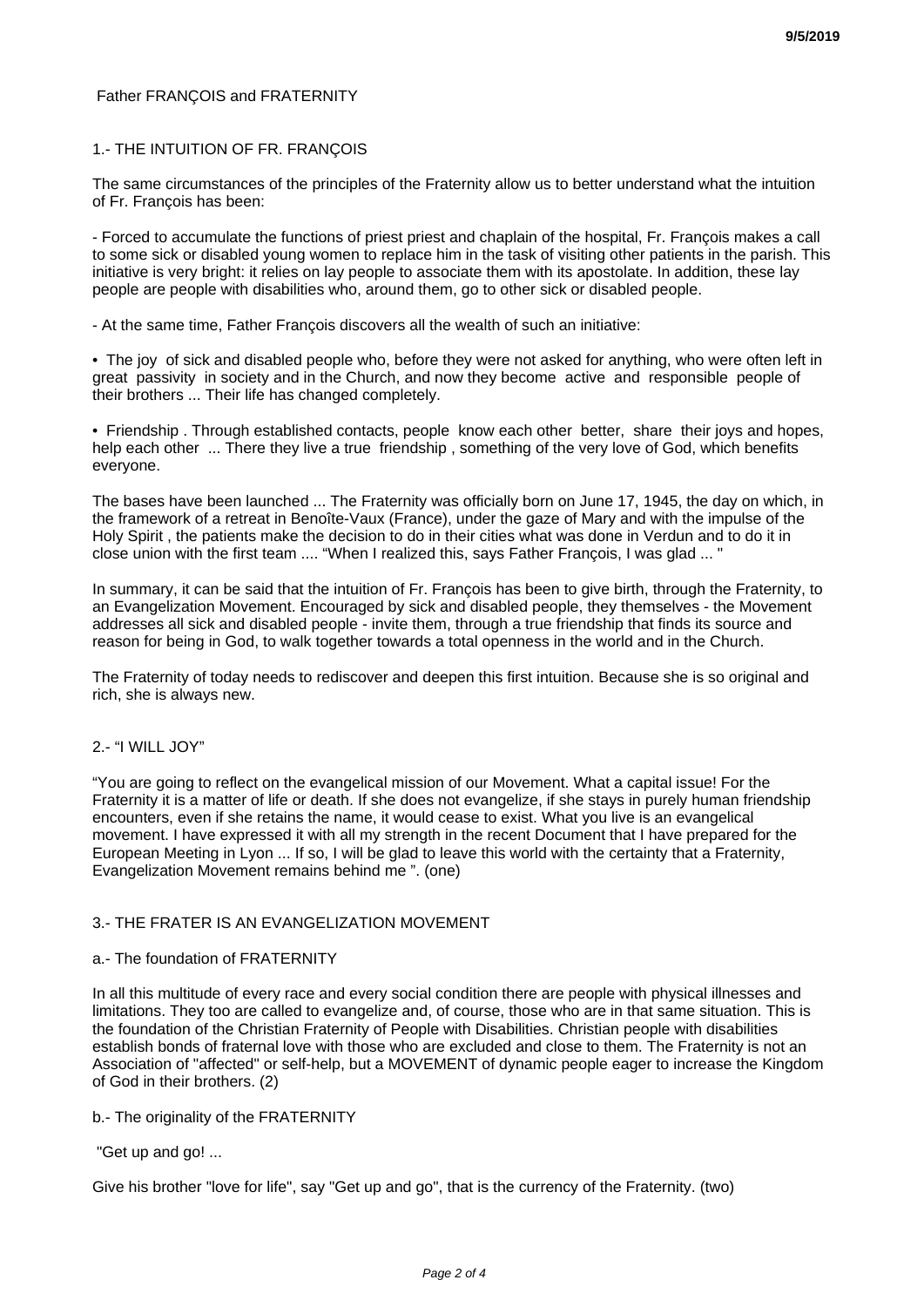# Father FRANÇOIS and FRATERNITY

# 1.- THE INTUITION OF FR. FRANÇOIS

The same circumstances of the principles of the Fraternity allow us to better understand what the intuition of Fr. François has been:

- Forced to accumulate the functions of priest priest and chaplain of the hospital, Fr. François makes a call to some sick or disabled young women to replace him in the task of visiting other patients in the parish. This initiative is very bright: it relies on lay people to associate them with its apostolate. In addition, these lay people are people with disabilities who, around them, go to other sick or disabled people.

- At the same time, Father François discovers all the wealth of such an initiative:

• The joy of sick and disabled people who, before they were not asked for anything, who were often left in great passivity in society and in the Church, and now they become active and responsible people of their brothers ... Their life has changed completely.

• Friendship . Through established contacts, people know each other better, share their joys and hopes, help each other ... There they live a true friendship, something of the very love of God, which benefits everyone.

The bases have been launched ... The Fraternity was officially born on June 17, 1945, the day on which, in the framework of a retreat in Benoîte-Vaux (France), under the gaze of Mary and with the impulse of the Holy Spirit , the patients make the decision to do in their cities what was done in Verdun and to do it in close union with the first team .... "When I realized this, says Father François, I was glad ... "

In summary, it can be said that the intuition of Fr. François has been to give birth, through the Fraternity, to an Evangelization Movement. Encouraged by sick and disabled people, they themselves - the Movement addresses all sick and disabled people - invite them, through a true friendship that finds its source and reason for being in God, to walk together towards a total openness in the world and in the Church.

The Fraternity of today needs to rediscover and deepen this first intuition. Because she is so original and rich, she is always new.

## 2.- "I WILL JOY"

"You are going to reflect on the evangelical mission of our Movement. What a capital issue! For the Fraternity it is a matter of life or death. If she does not evangelize, if she stays in purely human friendship encounters, even if she retains the name, it would cease to exist. What you live is an evangelical movement. I have expressed it with all my strength in the recent Document that I have prepared for the European Meeting in Lyon ... If so, I will be glad to leave this world with the certainty that a Fraternity, Evangelization Movement remains behind me ". (one)

## 3.- THE FRATER IS AN EVANGELIZATION MOVEMENT

#### a.- The foundation of FRATERNITY

In all this multitude of every race and every social condition there are people with physical illnesses and limitations. They too are called to evangelize and, of course, those who are in that same situation. This is the foundation of the Christian Fraternity of People with Disabilities. Christian people with disabilities establish bonds of fraternal love with those who are excluded and close to them. The Fraternity is not an Association of "affected" or self-help, but a MOVEMENT of dynamic people eager to increase the Kingdom of God in their brothers. (2)

## b.- The originality of the FRATERNITY

## "Get up and go! ...

Give his brother "love for life", say "Get up and go", that is the currency of the Fraternity. (two)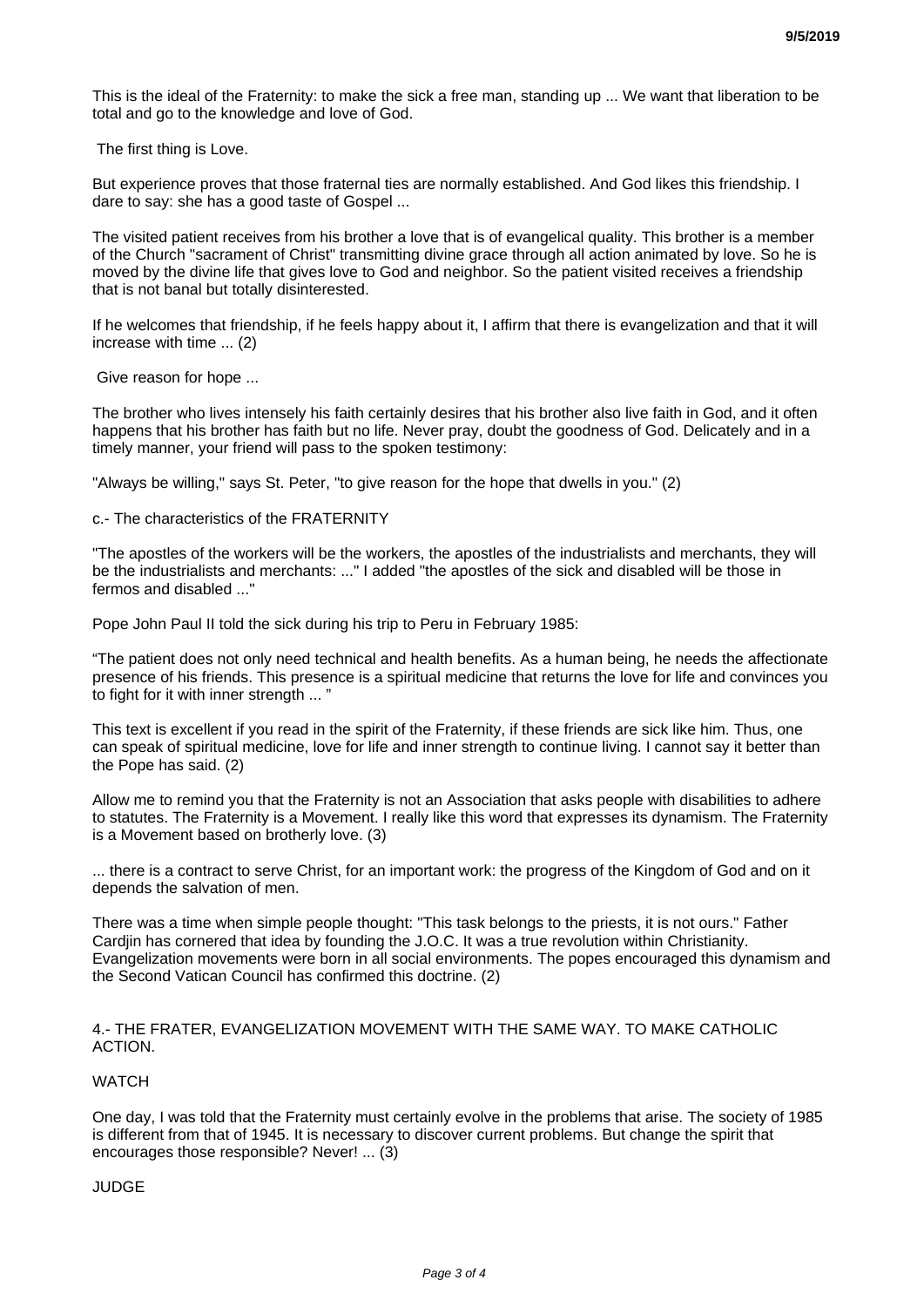This is the ideal of the Fraternity: to make the sick a free man, standing up ... We want that liberation to be total and go to the knowledge and love of God.

The first thing is Love.

But experience proves that those fraternal ties are normally established. And God likes this friendship. I dare to say: she has a good taste of Gospel ...

The visited patient receives from his brother a love that is of evangelical quality. This brother is a member of the Church "sacrament of Christ" transmitting divine grace through all action animated by love. So he is moved by the divine life that gives love to God and neighbor. So the patient visited receives a friendship that is not banal but totally disinterested.

If he welcomes that friendship, if he feels happy about it, I affirm that there is evangelization and that it will increase with time ... (2)

Give reason for hope ...

The brother who lives intensely his faith certainly desires that his brother also live faith in God, and it often happens that his brother has faith but no life. Never pray, doubt the goodness of God. Delicately and in a timely manner, your friend will pass to the spoken testimony:

"Always be willing," says St. Peter, "to give reason for the hope that dwells in you." (2)

c.- The characteristics of the FRATERNITY

"The apostles of the workers will be the workers, the apostles of the industrialists and merchants, they will be the industrialists and merchants: ..." I added "the apostles of the sick and disabled will be those in fermos and disabled ..."

Pope John Paul II told the sick during his trip to Peru in February 1985:

"The patient does not only need technical and health benefits. As a human being, he needs the affectionate presence of his friends. This presence is a spiritual medicine that returns the love for life and convinces you to fight for it with inner strength ... "

This text is excellent if you read in the spirit of the Fraternity, if these friends are sick like him. Thus, one can speak of spiritual medicine, love for life and inner strength to continue living. I cannot say it better than the Pope has said. (2)

Allow me to remind you that the Fraternity is not an Association that asks people with disabilities to adhere to statutes. The Fraternity is a Movement. I really like this word that expresses its dynamism. The Fraternity is a Movement based on brotherly love. (3)

... there is a contract to serve Christ, for an important work: the progress of the Kingdom of God and on it depends the salvation of men.

There was a time when simple people thought: "This task belongs to the priests, it is not ours." Father Cardjin has cornered that idea by founding the J.O.C. It was a true revolution within Christianity. Evangelization movements were born in all social environments. The popes encouraged this dynamism and the Second Vatican Council has confirmed this doctrine. (2)

#### 4.- THE FRATER, EVANGELIZATION MOVEMENT WITH THE SAME WAY. TO MAKE CATHOLIC ACTION.

# **WATCH**

One day, I was told that the Fraternity must certainly evolve in the problems that arise. The society of 1985 is different from that of 1945. It is necessary to discover current problems. But change the spirit that encourages those responsible? Never! ... (3)

## JUDGE